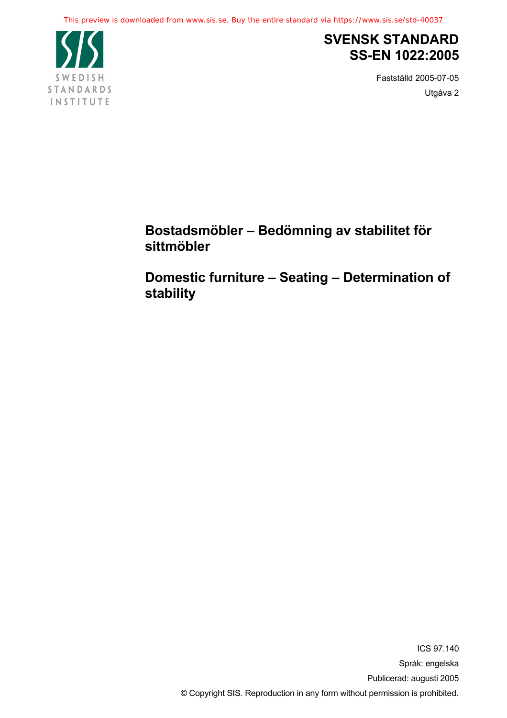

# **SVENSK STANDARD SS-EN 1022:2005**

Fastställd 2005-07-05 Utgåva 2

**Bostadsmöbler – Bedömning av stabilitet för sittmöbler** 

**Domestic furniture – Seating – Determination of stability**

> ICS 97.140 Språk: engelska Publicerad: augusti 2005 © Copyright SIS. Reproduction in any form without permission is prohibited.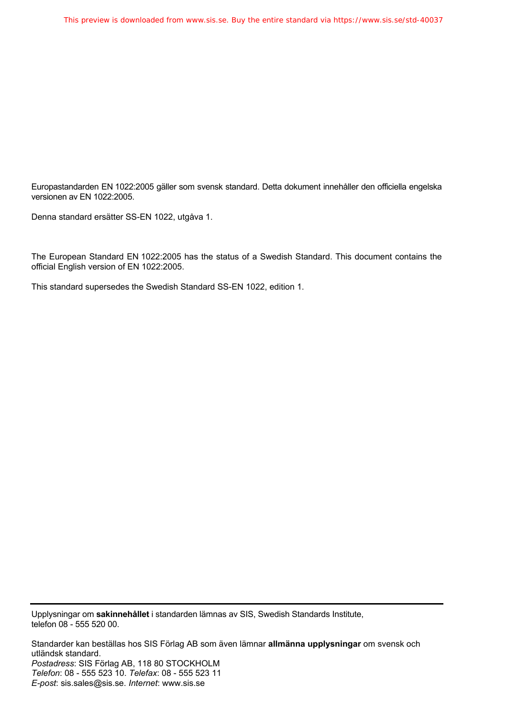Europastandarden EN 1022:2005 gäller som svensk standard. Detta dokument innehåller den officiella engelska versionen av EN 1022:2005.

Denna standard ersätter SS-EN 1022, utgåva 1.

The European Standard EN 1022:2005 has the status of a Swedish Standard. This document contains the official English version of EN 1022:2005.

This standard supersedes the Swedish Standard SS-EN 1022, edition 1.

Upplysningar om **sakinnehållet** i standarden lämnas av SIS, Swedish Standards Institute, telefon 08 - 555 520 00.

Standarder kan beställas hos SIS Förlag AB som även lämnar **allmänna upplysningar** om svensk och utländsk standard. *Postadress*: SIS Förlag AB, 118 80 STOCKHOLM *Telefon*: 08 - 555 523 10. *Telefax*: 08 - 555 523 11 *E-post*: sis.sales@sis.se. *Internet*: www.sis.se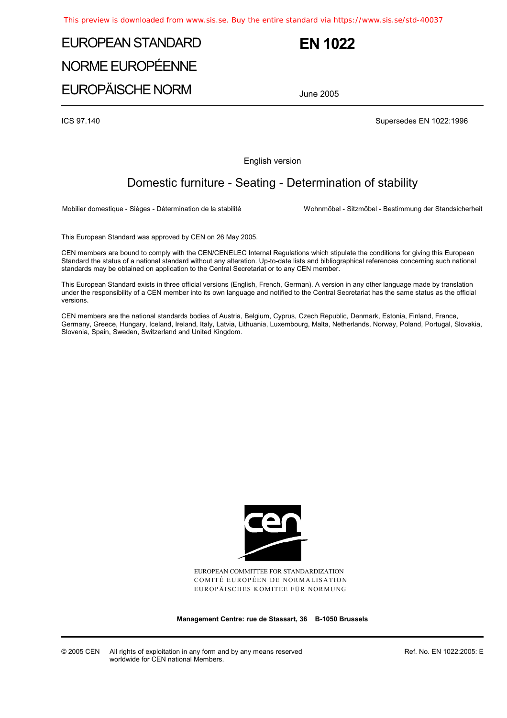# EUROPEAN STANDARD NORME EUROPÉENNE

EUROPÄISCHE NORM

# **EN 1022**

June 2005

ICS 97.140 Supersedes EN 1022:1996

English version

### Domestic furniture - Seating - Determination of stability

Mobilier domestique - Sièges - Détermination de la stabilité Wohnmöbel - Sitzmöbel - Bestimmung der Standsicherheit

This European Standard was approved by CEN on 26 May 2005.

CEN members are bound to comply with the CEN/CENELEC Internal Regulations which stipulate the conditions for giving this European Standard the status of a national standard without any alteration. Up-to-date lists and bibliographical references concerning such national standards may be obtained on application to the Central Secretariat or to any CEN member.

This European Standard exists in three official versions (English, French, German). A version in any other language made by translation under the responsibility of a CEN member into its own language and notified to the Central Secretariat has the same status as the official versions.

CEN members are the national standards bodies of Austria, Belgium, Cyprus, Czech Republic, Denmark, Estonia, Finland, France, Germany, Greece, Hungary, Iceland, Ireland, Italy, Latvia, Lithuania, Luxembourg, Malta, Netherlands, Norway, Poland, Portugal, Slovakia, Slovenia, Spain, Sweden, Switzerland and United Kingdom.



EUROPEAN COMMITTEE FOR STANDARDIZATION COMITÉ EUROPÉEN DE NORMALISATION EUROPÄISCHES KOMITEE FÜR NORMUNG

**Management Centre: rue de Stassart, 36 B-1050 Brussels** 

© 2005 CEN All rights of exploitation in any form and by any means reserved worldwide for CEN national Members.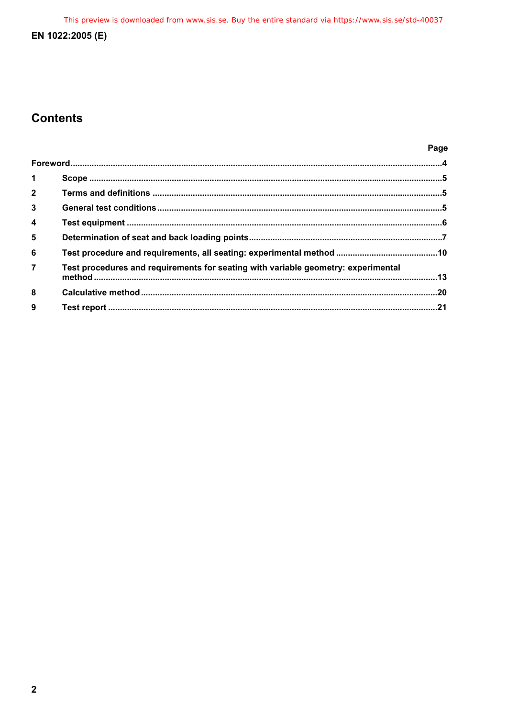This preview is downloaded from www.sis.se. Buy the entire standard via https://www.sis.se/std-40037

### EN 1022:2005 (E)

## **Contents**

| O<br>.,<br>× |
|--------------|
|--------------|

| $\blacktriangleleft$ |                                                                                   |  |
|----------------------|-----------------------------------------------------------------------------------|--|
| $\overline{2}$       |                                                                                   |  |
| $\overline{3}$       |                                                                                   |  |
| $\overline{4}$       |                                                                                   |  |
| 5                    |                                                                                   |  |
| 6                    |                                                                                   |  |
| $\overline{7}$       | Test procedures and requirements for seating with variable geometry: experimental |  |
| 8                    |                                                                                   |  |
| 9                    |                                                                                   |  |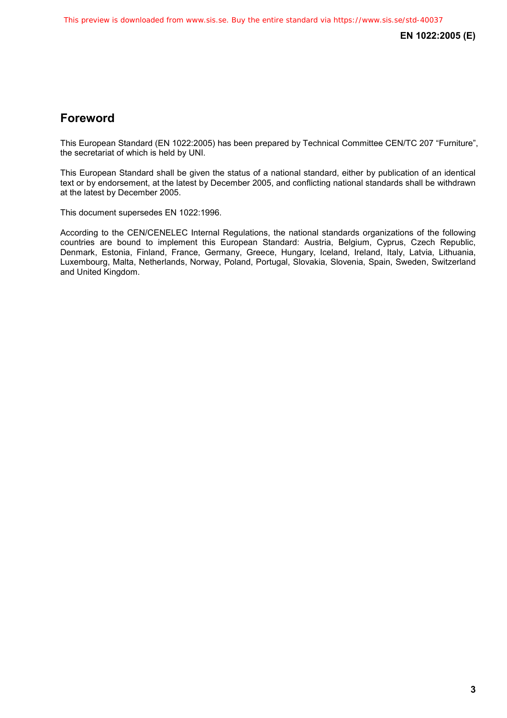### <span id="page-4-0"></span>**Foreword**

This European Standard (EN 1022:2005) has been prepared by Technical Committee CEN/TC 207 "Furniture", the secretariat of which is held by UNI.

This European Standard shall be given the status of a national standard, either by publication of an identical text or by endorsement, at the latest by December 2005, and conflicting national standards shall be withdrawn at the latest by December 2005.

This document supersedes EN 1022:1996.

According to the CEN/CENELEC Internal Regulations, the national standards organizations of the following countries are bound to implement this European Standard: Austria, Belgium, Cyprus, Czech Republic, Denmark, Estonia, Finland, France, Germany, Greece, Hungary, Iceland, Ireland, Italy, Latvia, Lithuania, Luxembourg, Malta, Netherlands, Norway, Poland, Portugal, Slovakia, Slovenia, Spain, Sweden, Switzerland and United Kingdom.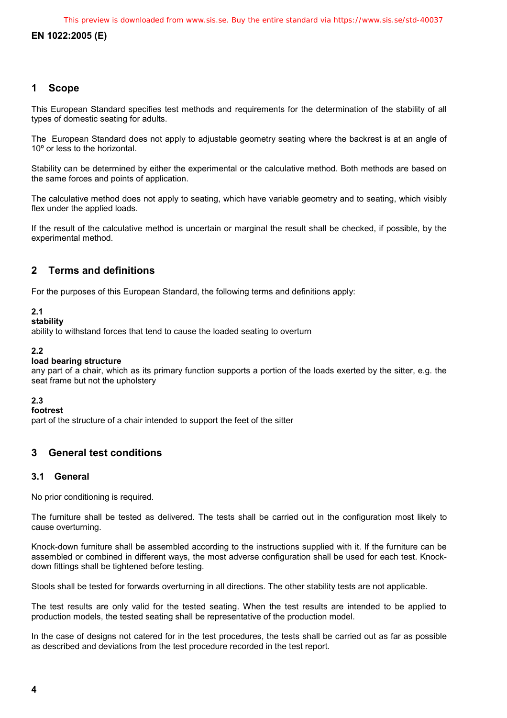#### <span id="page-5-0"></span>**1 Scope**

This European Standard specifies test methods and requirements for the determination of the stability of all types of domestic seating for adults.

The European Standard does not apply to adjustable geometry seating where the backrest is at an angle of 10º or less to the horizontal.

Stability can be determined by either the experimental or the calculative method. Both methods are based on the same forces and points of application.

The calculative method does not apply to seating, which have variable geometry and to seating, which visibly flex under the applied loads.

If the result of the calculative method is uncertain or marginal the result shall be checked, if possible, by the experimental method.

#### **2 Terms and definitions**

For the purposes of this European Standard, the following terms and definitions apply:

#### **2.1**

#### **stability**

ability to withstand forces that tend to cause the loaded seating to overturn

#### **2.2**

#### **load bearing structure**

any part of a chair, which as its primary function supports a portion of the loads exerted by the sitter, e.g. the seat frame but not the upholstery

#### **2.3**

#### **footrest**

part of the structure of a chair intended to support the feet of the sitter

#### **3 General test conditions**

#### **3.1 General**

No prior conditioning is required.

The furniture shall be tested as delivered. The tests shall be carried out in the configuration most likely to cause overturning.

Knock-down furniture shall be assembled according to the instructions supplied with it. If the furniture can be assembled or combined in different ways, the most adverse configuration shall be used for each test. Knockdown fittings shall be tightened before testing.

Stools shall be tested for forwards overturning in all directions. The other stability tests are not applicable.

The test results are only valid for the tested seating. When the test results are intended to be applied to production models, the tested seating shall be representative of the production model.

In the case of designs not catered for in the test procedures, the tests shall be carried out as far as possible as described and deviations from the test procedure recorded in the test report.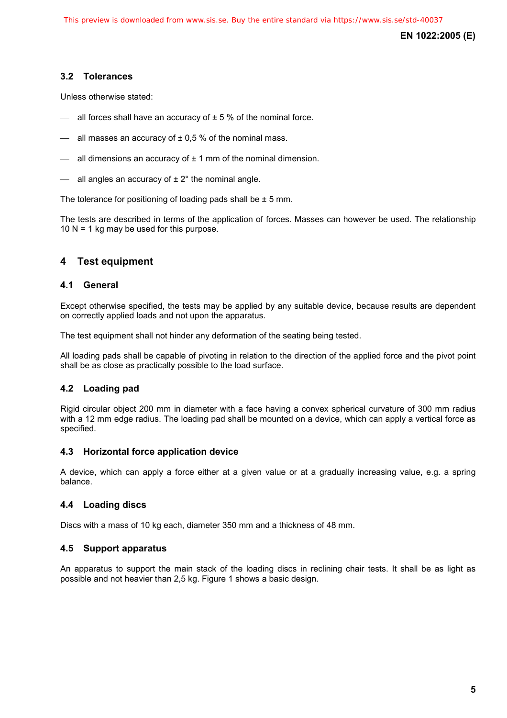#### <span id="page-6-0"></span>**3.2 Tolerances**

Unless otherwise stated:

- $\equiv$  all forces shall have an accuracy of  $\pm$  5 % of the nominal force.
- $-$  all masses an accuracy of  $\pm$  0.5 % of the nominal mass.
- $-$  all dimensions an accuracy of  $\pm$  1 mm of the nominal dimension.
- $-$  all angles an accuracy of  $\pm 2^{\circ}$  the nominal angle.

The tolerance for positioning of loading pads shall be  $\pm$  5 mm.

The tests are described in terms of the application of forces. Masses can however be used. The relationship 10  $N = 1$  kg may be used for this purpose.

#### **4 Test equipment**

#### **4.1 General**

Except otherwise specified, the tests may be applied by any suitable device, because results are dependent on correctly applied loads and not upon the apparatus.

The test equipment shall not hinder any deformation of the seating being tested.

All loading pads shall be capable of pivoting in relation to the direction of the applied force and the pivot point shall be as close as practically possible to the load surface.

#### **4.2 Loading pad**

Rigid circular object 200 mm in diameter with a face having a convex spherical curvature of 300 mm radius with a 12 mm edge radius. The loading pad shall be mounted on a device, which can apply a vertical force as specified.

#### **4.3 Horizontal force application device**

A device, which can apply a force either at a given value or at a gradually increasing value, e.g. a spring balance.

#### **4.4 Loading discs**

Discs with a mass of 10 kg each, diameter 350 mm and a thickness of 48 mm.

#### **4.5 Support apparatus**

An apparatus to support the main stack of the loading discs in reclining chair tests. It shall be as light as possible and not heavier than 2,5 kg. Figure 1 shows a basic design.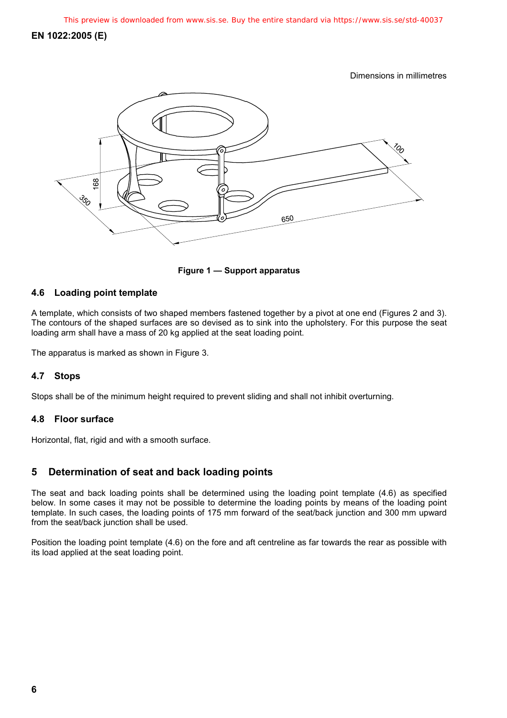Dimensions in millimetres

<span id="page-7-0"></span>

**Figure 1 — Support apparatus** 

#### **4.6 Loading point template**

A template, which consists of two shaped members fastened together by a pivot at one end (Figures 2 and 3). The contours of the shaped surfaces are so devised as to sink into the upholstery. For this purpose the seat loading arm shall have a mass of 20 kg applied at the seat loading point.

The apparatus is marked as shown in Figure 3.

#### **4.7 Stops**

Stops shall be of the minimum height required to prevent sliding and shall not inhibit overturning.

#### **4.8 Floor surface**

Horizontal, flat, rigid and with a smooth surface.

#### **5 Determination of seat and back loading points**

The seat and back loading points shall be determined using the loading point template (4.6) as specified below. In some cases it may not be possible to determine the loading points by means of the loading point template. In such cases, the loading points of 175 mm forward of the seat/back junction and 300 mm upward from the seat/back junction shall be used.

Position the loading point template (4.6) on the fore and aft centreline as far towards the rear as possible with its load applied at the seat loading point.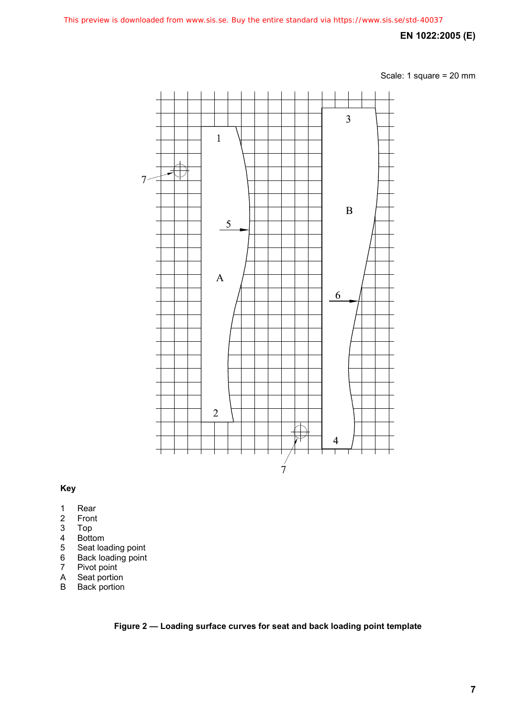Scale: 1 square = 20 mm



#### **Key**

- 1 Rear<br>2 Front
- 2 Front<br>3 Top
- 3 Top
- 
- 4 Bottom<br>5 Seat los<br>6 Back lo<br>7 Pivot po 5 Seat loading point
- 6 Back loading point
- 7 Pivot point
- A Seat portion<br>B Back portion
- **Back** portion

**Figure 2 — Loading surface curves for seat and back loading point template**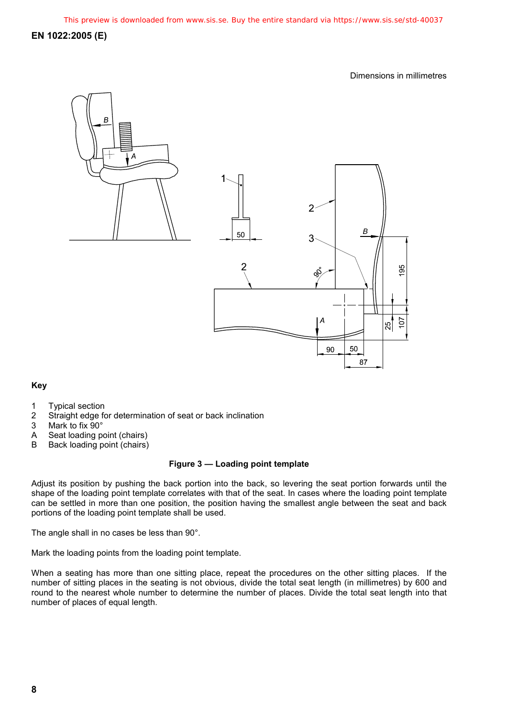Dimensions in millimetres



#### **Key**

- 1 Typical section
- 2 Straight edge for determination of seat or back inclination
- 3 Mark to fix 90°
- A Seat loading point (chairs)
- B Back loading point (chairs)

#### **Figure 3 — Loading point template**

Adjust its position by pushing the back portion into the back, so levering the seat portion forwards until the shape of the loading point template correlates with that of the seat. In cases where the loading point template can be settled in more than one position, the position having the smallest angle between the seat and back portions of the loading point template shall be used.

The angle shall in no cases be less than 90°.

Mark the loading points from the loading point template.

When a seating has more than one sitting place, repeat the procedures on the other sitting places. If the number of sitting places in the seating is not obvious, divide the total seat length (in millimetres) by 600 and round to the nearest whole number to determine the number of places. Divide the total seat length into that number of places of equal length.